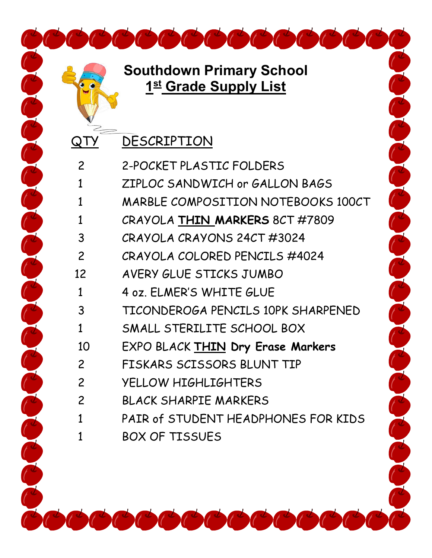QTY DESCRIPTION

Concerted Concerted Concerted

| $\overline{2}$ | 2-POCKET PLASTIC FOLDERS            |
|----------------|-------------------------------------|
| 1              | ZIPLOC SANDWICH or GALLON BAGS      |
| 1              | MARBLE COMPOSITION NOTEBOOKS 100CT  |
| 1              | CRAYOLA THIN MARKERS 8CT #7809      |
| 3              | CRAYOLA CRAYONS 24CT #3024          |
| 2              | CRAYOLA COLORED PENCILS #4024       |
| 12             | AVERY GLUE STICKS JUMBO             |
| 1              | 4 oz. ELMER'S WHITE GLUE            |
| 3              | TICONDEROGA PENCILS 10PK SHARPENED  |
| 1              | SMALL STERILITE SCHOOL BOX          |
| 10             | EXPO BLACK THIN Dry Erase Markers   |
| $\overline{2}$ | FISKARS SCISSORS BLUNT TIP          |
| $\overline{2}$ | YELLOW HIGHLIGHTERS                 |
| $\overline{2}$ | BLACK SHARPIE MARKERS               |
| 1              | PAIR of STUDENT HEADPHONES FOR KIDS |
|                | <b>BOX OF TISSUES</b>               |

Contract de la Calabase de la Calabase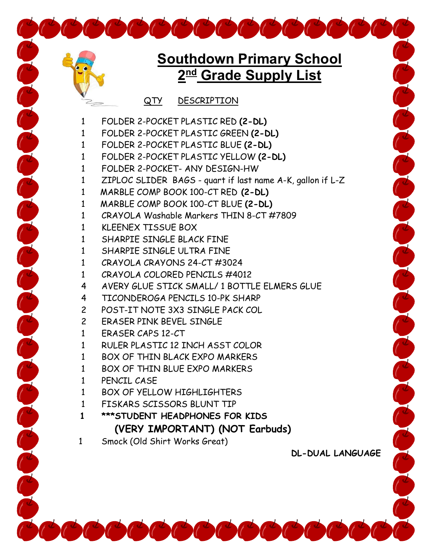## **Southdown Primary School 2nd Grade Supply List**

QTY DESCRIPTION

- FOLDER 2-POCKET PLASTIC RED **(2-DL)**
- FOLDER 2-POCKET PLASTIC GREEN **(2-DL)**
- FOLDER 2-POCKET PLASTIC BLUE **(2-DL)**
- FOLDER 2-POCKET PLASTIC YELLOW **(2-DL)**
- FOLDER 2-POCKET- ANY DESIGN-HW
- ZIPLOC SLIDER BAGS quart if last name A-K, gallon if L-Z
- 1 MARBLE COMP BOOK 100-CT RED **(2-DL)**
- 1 MARBLE COMP BOOK 100-CT BLUE **(2-DL)**
- CRAYOLA Washable Markers THIN 8-CT #7809
- KLEENEX TISSUE BOX
- SHARPIE SINGLE BLACK FINE
- SHARPIE SINGLE ULTRA FINE
- CRAYOLA CRAYONS 24-CT #3024
- CRAYOLA COLORED PENCILS #4012
- AVERY GLUE STICK SMALL/ 1 BOTTLE ELMERS GLUE
- TICONDEROGA PENCILS 10-PK SHARP
- POST-IT NOTE 3X3 SINGLE PACK COL
- ERASER PINK BEVEL SINGLE
- ERASER CAPS 12-CT
- RULER PLASTIC 12 INCH ASST COLOR
- 1 BOX OF THIN BLACK EXPO MARKFRS
- BOX OF THIN BLUE EXPO MARKERS
- PENCIL CASE

and the late of the late of the late of the late of the late of the late of

- BOX OF YELLOW HIGHLIGHTERS
- FISKARS SCISSORS BLUNT TIP
- **\*\*\*STUDENT HEADPHONES FOR KIDS (VERY IMPORTANT) (NOT Earbuds)**
- Smock (Old Shirt Works Great)

**DL-DUAL LANGUAGE**

The Color of the Color of the Color of the Color of the Color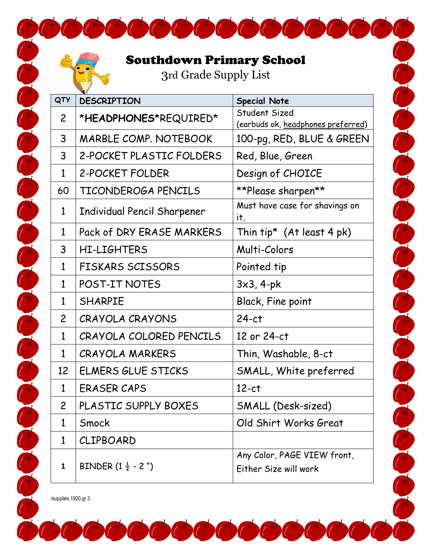## Southdown Primary School

3rd Grade Supply List

 $\overline{\phantom{a}}$ 

a de la de la de la de la de la de la de la de la de la de la de la de la de la de la de la de la de

| QTY            | <b>DESCRIPTION</b>              | <b>Special Note</b>                                  |
|----------------|---------------------------------|------------------------------------------------------|
| $\mathsf{2}$   | *HEADPHONES*REQUIRED*           | Student Sized<br>(earbuds ok, headphones preferred)  |
| 3              | <b>MARBLE COMP. NOTEBOOK</b>    | 100-pg, RED, BLUE & GREEN                            |
| 3              | 2-POCKET PLASTIC FOLDERS        | Red, Blue, Green                                     |
| $\mathbf{1}$   | 2-POCKET FOLDER                 | Design of CHOICE                                     |
| 60             | TICONDEROGA PENCILS             | **Please sharpen**                                   |
| $\mathbf{1}$   | Individual Pencil Sharpener     | Must have case for shavings on<br>it.                |
| $\mathbf{1}$   | Pack of DRY ERASE MARKERS       | Thin $tip^*$ (At least 4 pk)                         |
| 3              | HI-LIGHTERS                     | Multi-Colors                                         |
| $\mathbf{1}$   | <b>FISKARS SCISSORS</b>         | Pointed tip                                          |
| $\mathbf{1}$   | POST-IT NOTES                   | $3x3, 4-pk$                                          |
| $\mathbf{1}$   | <b>SHARPIE</b>                  | <b>Black, Fine point</b>                             |
| $\overline{2}$ | CRAYOLA CRAYONS                 | $24-ct$                                              |
| $\mathbf{1}$   | CRAYOLA COLORED PENCILS         | 12 or 24-ct                                          |
| $\mathbf{1}$   | <b>CRAYOLA MARKERS</b>          | Thin, Washable, 8-ct                                 |
| 12             | <b>ELMERS GLUE STICKS</b>       | SMALL, White preferred                               |
| $\mathbf{1}$   | <b>ERASER CAPS</b>              | $12-ct$                                              |
| $\overline{c}$ | PLASTIC SUPPLY BOXES            | SMALL (Desk-sized)                                   |
| $\mathbf{1}$   | Smock                           | Old Shirt Works Great                                |
| $\mathbf{1}$   | CLIPBOARD                       |                                                      |
| 1              | BINDER $(1\frac{1}{2} - 2)^{n}$ | Any Color, PAGE VIEW front,<br>Either Size will work |

/supplies.1920.gr.3

Contract de la Contractive de la Contractive de la Contractive